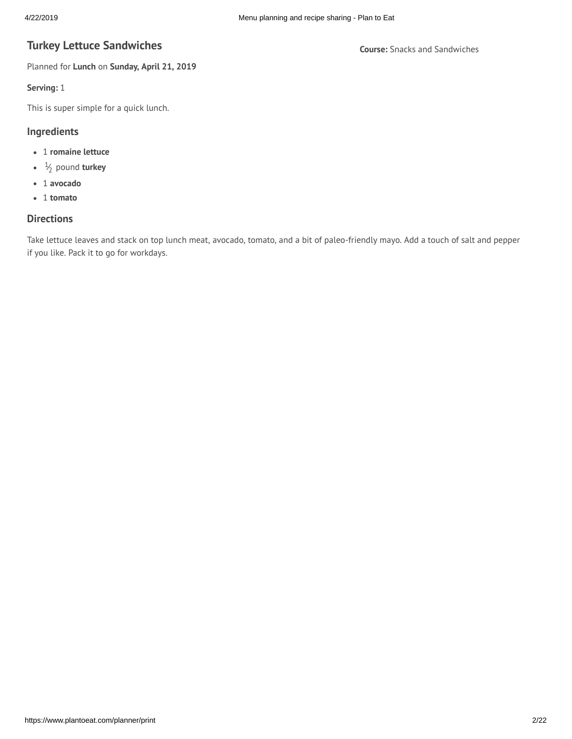# **Turkey Lettuce Sandwiches universal** *Course:* **Snacks and Sandwiches**

Planned for **Lunch** on **Sunday, April 21, 2019**

#### **Serving:** 1

This is super simple for a quick lunch.

## **Ingredients**

- 1 **romaine lettuce**
- 1 ⁄<sup>2</sup> pound **turkey**
- 1 **avocado**
- 1 **tomato**

# **Directions**

Take lettuce leaves and stack on top lunch meat, avocado, tomato, and a bit of paleo-friendly mayo. Add a touch of salt and pepper if you like. Pack it to go for workdays.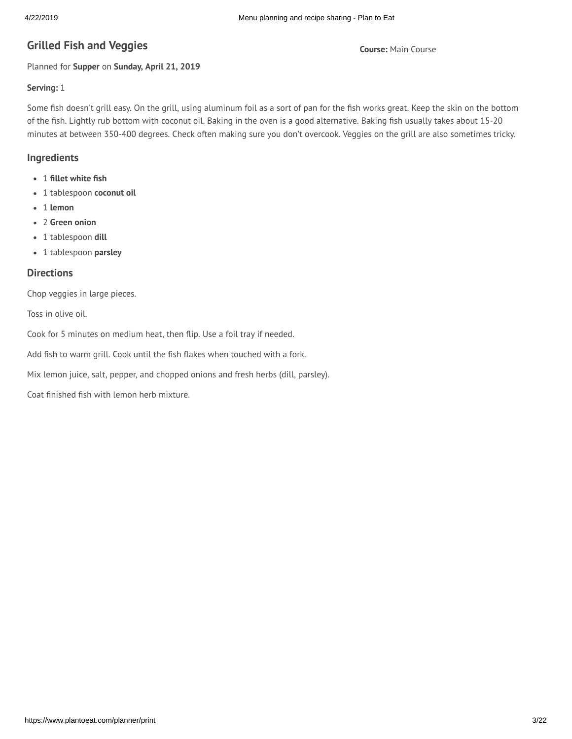# **G Course:** Main Course **rilled Fish and Veggies**

Planned for **Supper** on **Sunday, April 21, 2019**

## **Serving:** 1

Some fish doesn't grill easy. On the grill, using aluminum foil as a sort of pan for the fish works great. Keep the skin on the bottom of the fish. Lightly rub bottom with coconut oil. Baking in the oven is a good alternative. Baking fish usually takes about 15-20 minutes at between 350-400 degrees. Check often making sure you don't overcook. Veggies on the grill are also sometimes tricky.

## **Ingredients**

- 1 **llet white sh**
- 1 tablespoon **coconut oil**
- 1 **lemon**
- 2 **Green onion**
- 1 tablespoon **dill**
- 1 tablespoon **parsley**

#### **Directions**

Chop veggies in large pieces.

Toss in olive oil.

Cook for 5 minutes on medium heat, then flip. Use a foil tray if needed.

Add fish to warm grill. Cook until the fish flakes when touched with a fork.

Mix lemon juice, salt, pepper, and chopped onions and fresh herbs (dill, parsley).

Coat finished fish with lemon herb mixture.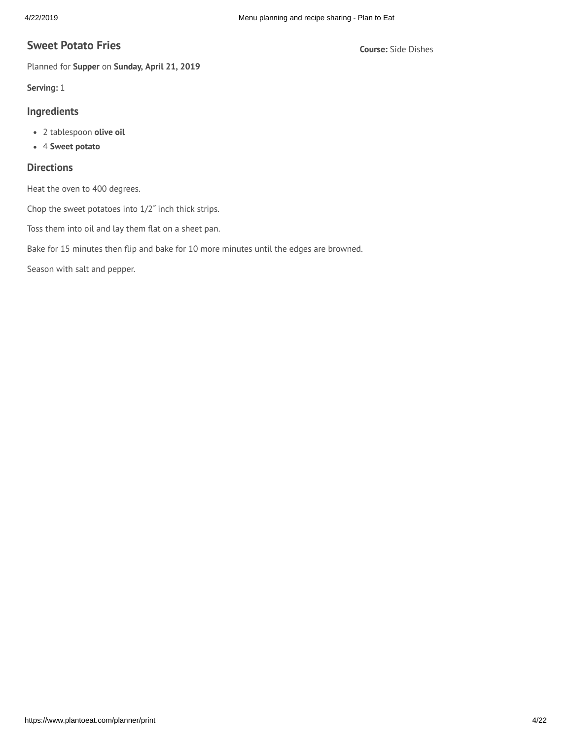# **Course:** Side Dishes **Sweet Potato Fries**

Planned for **Supper** on **Sunday, April 21, 2019**

**Serving:** 1

#### **Ingredients**

- 2 tablespoon **olive oil**
- 4 **Sweet potato**

## **Directions**

Heat the oven to 400 degrees.

Chop the sweet potatoes into 1/2˝ inch thick strips.

Toss them into oil and lay them flat on a sheet pan.

Bake for 15 minutes then flip and bake for 10 more minutes until the edges are browned.

Season with salt and pepper.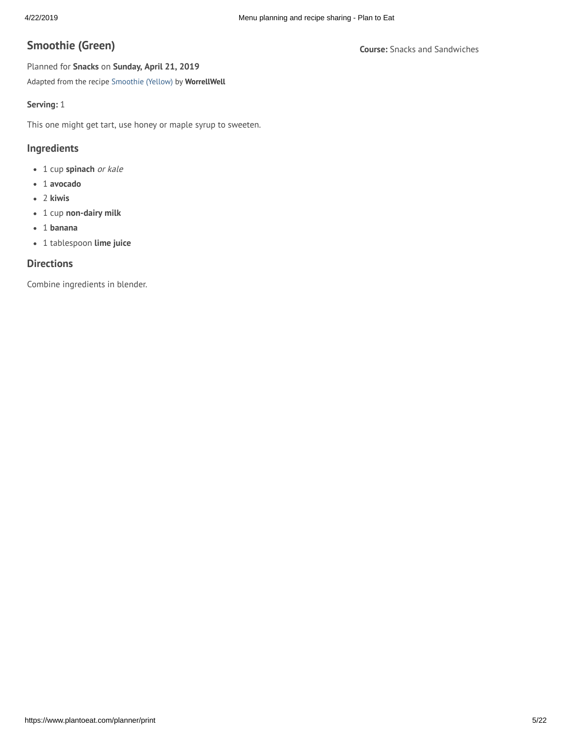# **Course:** Snacks and Sandwiches **Smoothie (Green)**

Planned for **Snacks** on **Sunday, April 21, 2019** Adapted from the recipe [Smoothie](https://www.plantoeat.com/recipes/19374885) (Yellow) by **WorrellWell**

## **Serving:** 1

This one might get tart, use honey or maple syrup to sweeten.

## **Ingredients**

- 1 cup **spinach** or kale
- 1 **avocado**
- 2 **kiwis**
- 1 cup **non-dairy milk**
- 1 **banana**
- 1 tablespoon **lime juice**

# **Directions**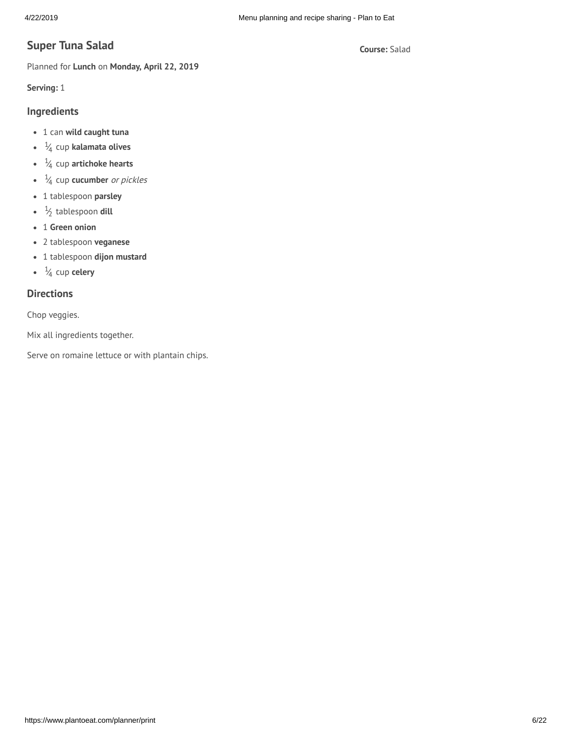# **Course:** Salad **Super Tuna Salad**

Planned for **Lunch** on **Monday, April 22, 2019**

**Serving:** 1

# **Ingredients**

- 1 can **wild caught tuna**
- 1 ⁄<sup>4</sup> cup **kalamata olives**
- 1 ⁄<sup>4</sup> cup **artichoke hearts**
- 1 ⁄<sup>4</sup> cup **cucumber** or pickles
- 1 tablespoon **parsley**
- 1 ⁄2 tablespoon **dill**
- 1 **Green onion**
- 2 tablespoon **veganese**
- 1 tablespoon **dijon mustard**
- 1 ⁄<sup>4</sup> cup **celery**

# **Directions**

Chop veggies.

Mix all ingredients together.

Serve on romaine lettuce or with plantain chips.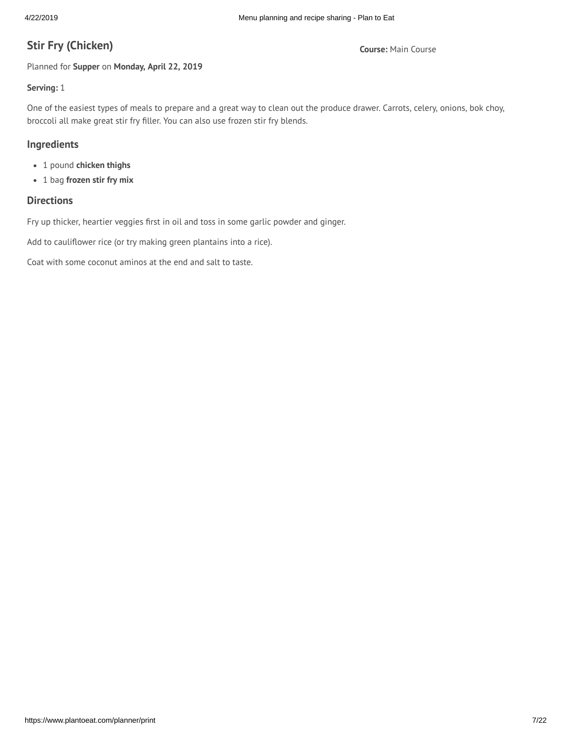# **Course:** Main Course **Stir Fry (Chicken)**

Planned for **Supper** on **Monday, April 22, 2019**

# **Serving:** 1

One of the easiest types of meals to prepare and a great way to clean out the produce drawer. Carrots, celery, onions, bok choy, broccoli all make great stir fry filler. You can also use frozen stir fry blends.

## **Ingredients**

- 1 pound **chicken thighs**
- 1 bag **frozen stir fry mix**

# **Directions**

Fry up thicker, heartier veggies first in oil and toss in some garlic powder and ginger.

Add to cauliflower rice (or try making green plantains into a rice).

Coat with some coconut aminos at the end and salt to taste.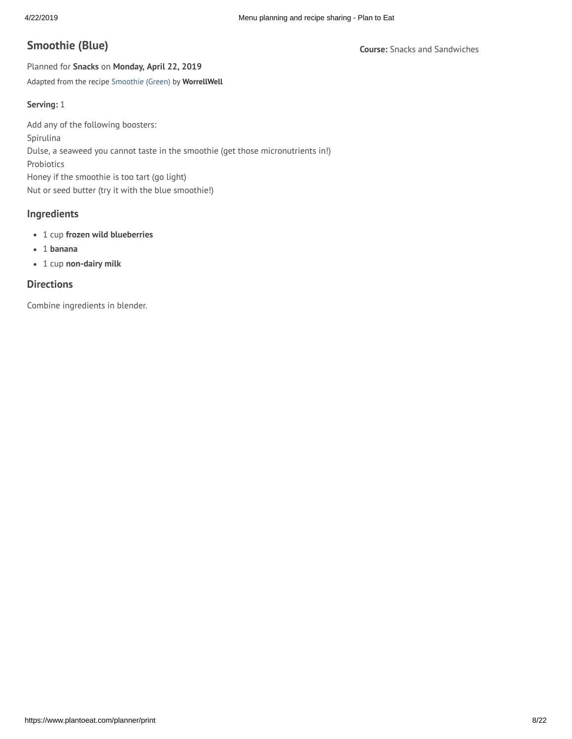# **Course:** Snacks and Sandwiches **Smoothie (Blue)**

Planned for **Snacks** on **Monday, April 22, 2019** Adapted from the recipe [Smoothie](https://www.plantoeat.com/recipes/19374892) (Green) by **WorrellWell**

#### **Serving:** 1

Add any of the following boosters: Spirulina Dulse, a seaweed you cannot taste in the smoothie (get those micronutrients in!) Probiotics Honey if the smoothie is too tart (go light) Nut or seed butter (try it with the blue smoothie!)

## **Ingredients**

- 1 cup **frozen wild blueberries**
- 1 **banana**
- 1 cup **non-dairy milk**

## **Directions**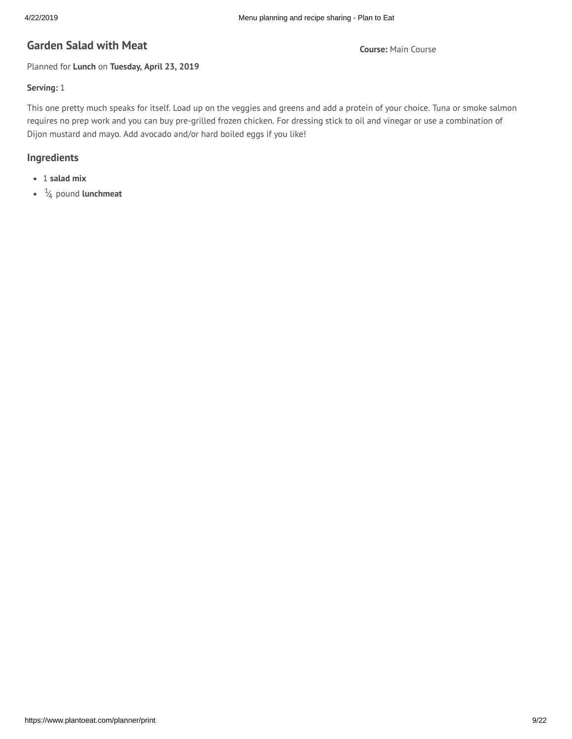# **G Course:** Main Course **arden Salad with Meat**

Planned for **Lunch** on **Tuesday, April 23, 2019**

## **Serving:** 1

This one pretty much speaks for itself. Load up on the veggies and greens and add a protein of your choice. Tuna or smoke salmon requires no prep work and you can buy pre-grilled frozen chicken. For dressing stick to oil and vinegar or use a combination of Dijon mustard and mayo. Add avocado and/or hard boiled eggs if you like!

# **Ingredients**

- 1 **salad mix**
- 1 ⁄<sup>4</sup> pound **lunchmeat**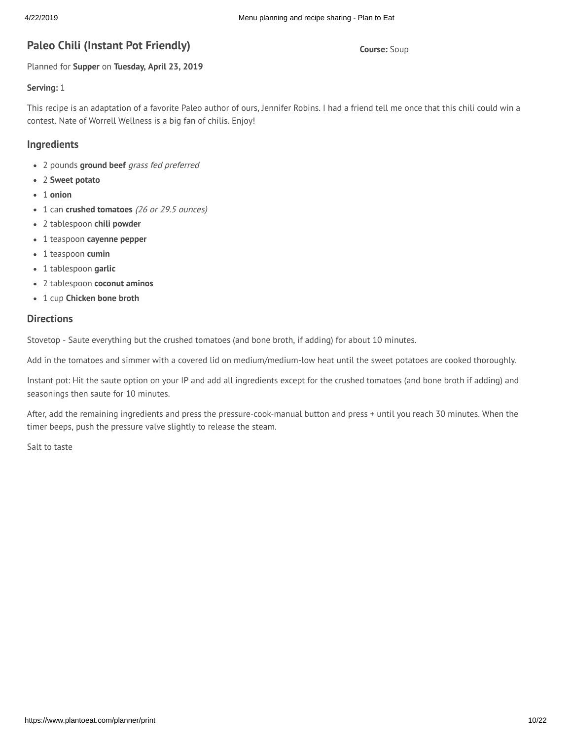# **Paleo Chili (Instant Pot Friendly) and** *Course:* **Soup <b>Course:** Soup

Planned for **Supper** on **Tuesday, April 23, 2019**

#### **Serving:** 1

This recipe is an adaptation of a favorite Paleo author of ours, Jennifer Robins. I had a friend tell me once that this chili could win a contest. Nate of Worrell Wellness is a big fan of chilis. Enjoy!

## **Ingredients**

- 2 pounds **ground beef** grass fed preferred
- 2 **Sweet potato**
- 1 **onion**
- 1 can **crushed tomatoes** (26 or 29.5 ounces)
- 2 tablespoon **chili powder**
- 1 teaspoon **cayenne pepper**
- 1 teaspoon **cumin**
- 1 tablespoon **garlic**
- 2 tablespoon **coconut aminos**
- 1 cup **Chicken bone broth**

# **Directions**

Stovetop - Saute everything but the crushed tomatoes (and bone broth, if adding) for about 10 minutes.

Add in the tomatoes and simmer with a covered lid on medium/medium-low heat until the sweet potatoes are cooked thoroughly.

Instant pot: Hit the saute option on your IP and add all ingredients except for the crushed tomatoes (and bone broth if adding) and seasonings then saute for 10 minutes.

After, add the remaining ingredients and press the pressure-cook-manual button and press + until you reach 30 minutes. When the timer beeps, push the pressure valve slightly to release the steam.

Salt to taste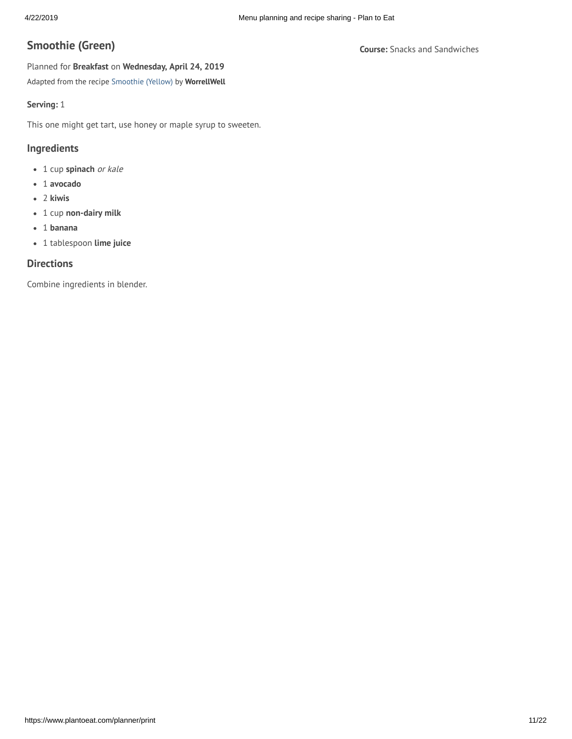# **Course:** Snacks and Sandwiches **Smoothie (Green)**

Planned for **Breakfast** on **Wednesday, April 24, 2019** Adapted from the recipe [Smoothie](https://www.plantoeat.com/recipes/19374885) (Yellow) by **WorrellWell**

## **Serving:** 1

This one might get tart, use honey or maple syrup to sweeten.

## **Ingredients**

- 1 cup **spinach** or kale
- 1 **avocado**
- 2 **kiwis**
- 1 cup **non-dairy milk**
- 1 **banana**
- 1 tablespoon **lime juice**

# **Directions**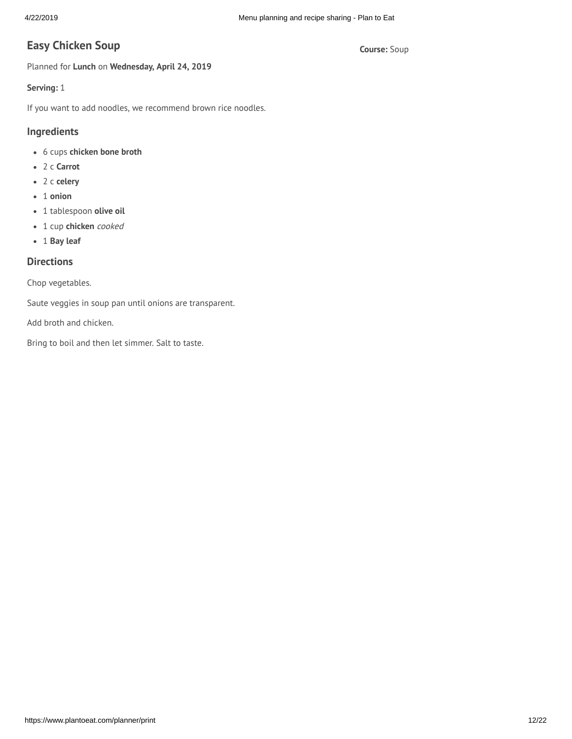# **Course:** Soup **Easy Chicken Soup**

Planned for **Lunch** on **Wednesday, April 24, 2019**

## **Serving:** 1

If you want to add noodles, we recommend brown rice noodles.

# **Ingredients**

- 6 cups **chicken bone broth**
- 2 c **Carrot**
- 2 c **celery**
- 1 **onion**
- 1 tablespoon **olive oil**
- 1 cup **chicken** cooked
- 1 **Bay leaf**

# **Directions**

Chop vegetables.

Saute veggies in soup pan until onions are transparent.

Add broth and chicken.

Bring to boil and then let simmer. Salt to taste.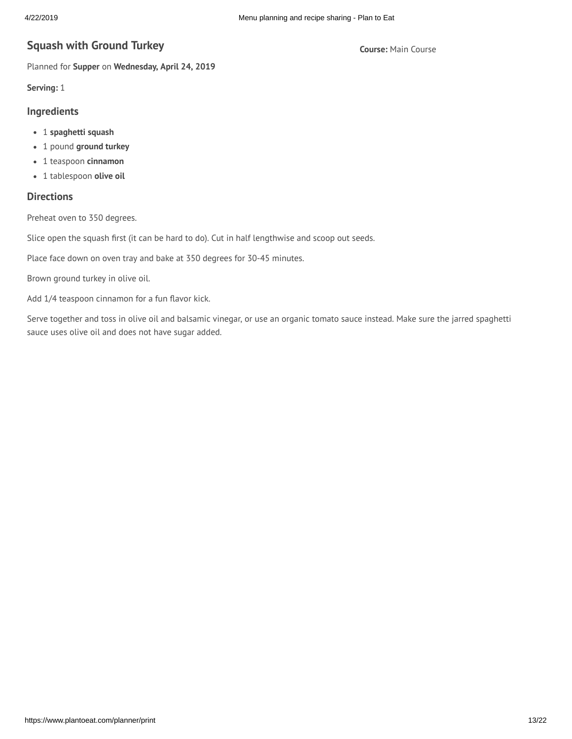# **Course:** Main Course **Squash with Ground Turkey**

Planned for **Supper** on **Wednesday, April 24, 2019**

**Serving:** 1

#### **Ingredients**

- 1 **spaghetti squash**
- 1 pound **ground turkey**
- 1 teaspoon **cinnamon**
- 1 tablespoon **olive oil**

# **Directions**

Preheat oven to 350 degrees.

Slice open the squash first (it can be hard to do). Cut in half lengthwise and scoop out seeds.

Place face down on oven tray and bake at 350 degrees for 30-45 minutes.

Brown ground turkey in olive oil.

Add 1/4 teaspoon cinnamon for a fun flavor kick.

Serve together and toss in olive oil and balsamic vinegar, or use an organic tomato sauce instead. Make sure the jarred spaghetti sauce uses olive oil and does not have sugar added.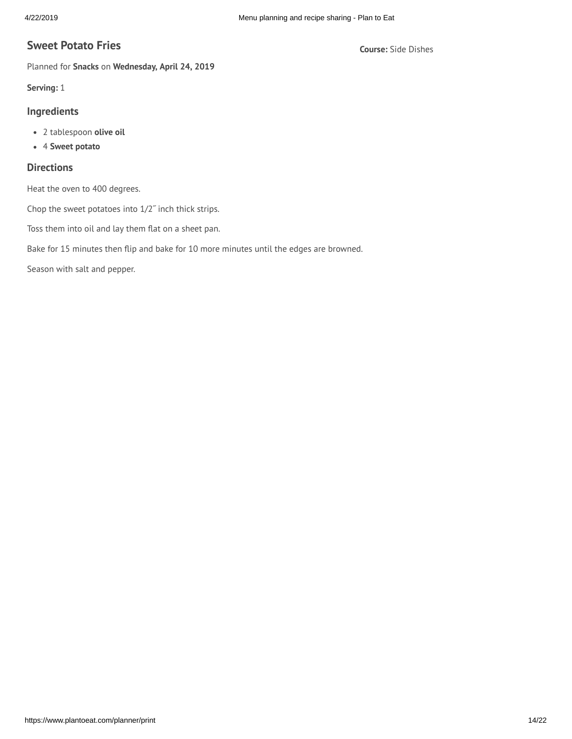# **Course:** Side Dishes **Sweet Potato Fries**

Planned for **Snacks** on **Wednesday, April 24, 2019**

**Serving:** 1

## **Ingredients**

- 2 tablespoon **olive oil**
- 4 **Sweet potato**

## **Directions**

Heat the oven to 400 degrees.

Chop the sweet potatoes into 1/2˝ inch thick strips.

Toss them into oil and lay them flat on a sheet pan.

Bake for 15 minutes then flip and bake for 10 more minutes until the edges are browned.

Season with salt and pepper.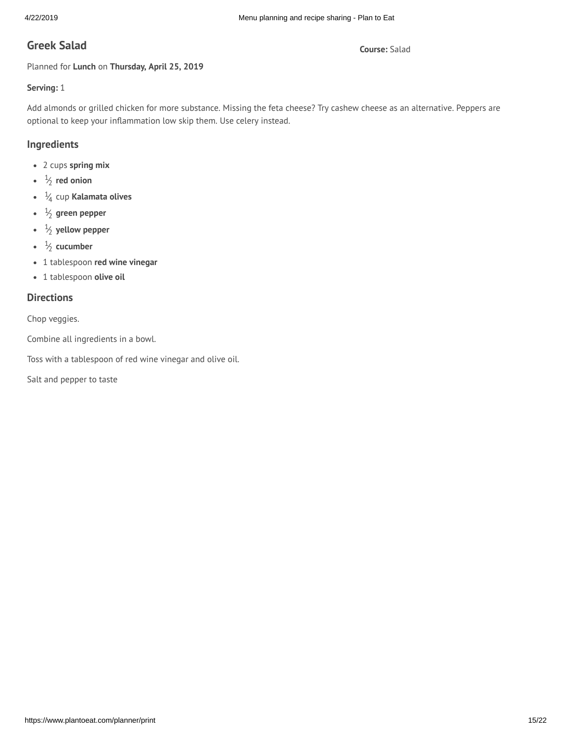# **G Course:** Salad **reek Salad**

Planned for **Lunch** on **Thursday, April 25, 2019**

## **Serving:** 1

Add almonds or grilled chicken for more substance. Missing the feta cheese? Try cashew cheese as an alternative. Peppers are optional to keep your inflammation low skip them. Use celery instead.

# **Ingredients**

- 2 cups **spring mix**
- 1 ⁄2 **red onion**
- 1 ⁄<sup>4</sup> cup **Kalamata olives**
- 1 ⁄<sup>2</sup> **green pepper**
- 1 ⁄<sup>2</sup> **yellow pepper**
- 1 ⁄2 **cucumber**
- 1 tablespoon **red wine vinegar**
- 1 tablespoon **olive oil**

## **Directions**

Chop veggies.

Combine all ingredients in a bowl.

Toss with a tablespoon of red wine vinegar and olive oil.

Salt and pepper to taste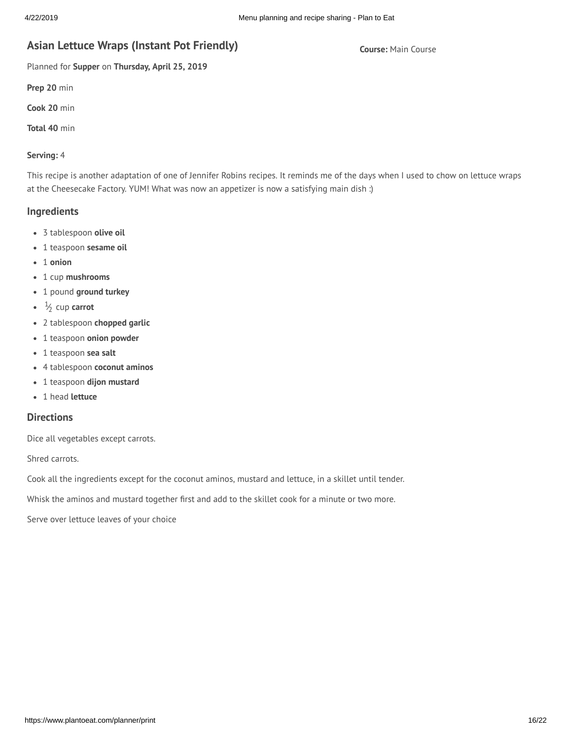# **A Course:** Main Course **sian Lettuce Wraps (Instant Pot Friendly)**

Planned for **Supper** on **Thursday, April 25, 2019**

**Prep 20** min

**Cook 20** min

**Total 40** min

#### **Serving:** 4

This recipe is another adaptation of one of Jennifer Robins recipes. It reminds me of the days when I used to chow on lettuce wraps at the Cheesecake Factory. YUM! What was now an appetizer is now a satisfying main dish :)

#### **Ingredients**

- 3 tablespoon **olive oil**
- 1 teaspoon **sesame oil**
- 1 **onion**
- 1 cup **mushrooms**
- 1 pound **ground turkey**
- 1 ⁄<sup>2</sup> cup **carrot**
- 2 tablespoon **chopped garlic**
- 1 teaspoon **onion powder**
- 1 teaspoon **sea salt**
- 4 tablespoon **coconut aminos**
- 1 teaspoon **dijon mustard**
- 1 head **lettuce**

## **Directions**

Dice all vegetables except carrots.

Shred carrots.

Cook all the ingredients except for the coconut aminos, mustard and lettuce, in a skillet until tender.

Whisk the aminos and mustard together first and add to the skillet cook for a minute or two more.

Serve over lettuce leaves of your choice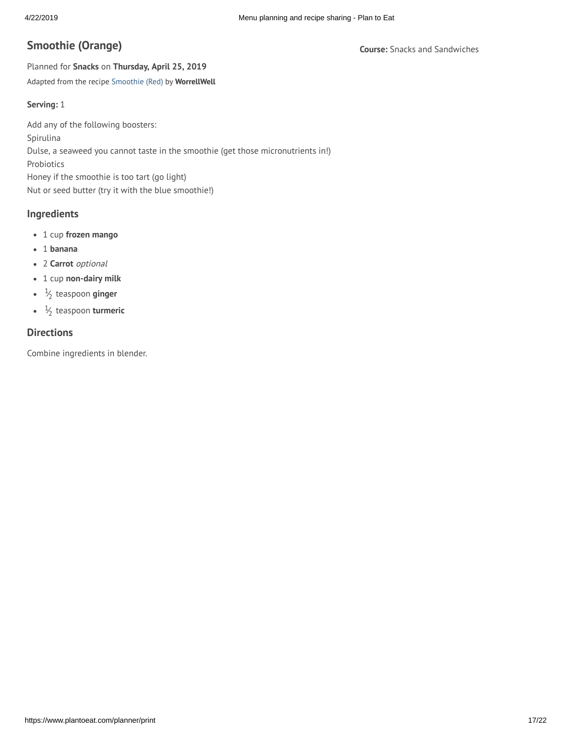# **Course:** Snacks and Sandwiches **Smoothie (Orange)**

Planned for **Snacks** on **Thursday, April 25, 2019** Adapted from the recipe [Smoothie](https://www.plantoeat.com/recipes/19374858) (Red) by **WorrellWell**

#### **Serving:** 1

Add any of the following boosters: Spirulina Dulse, a seaweed you cannot taste in the smoothie (get those micronutrients in!) Probiotics Honey if the smoothie is too tart (go light) Nut or seed butter (try it with the blue smoothie!)

#### **Ingredients**

- 1 cup **frozen mango**
- 1 **banana**
- 2 **Carrot** optional
- 1 cup **non-dairy milk**
- 1 ⁄2 teaspoon **ginger**
- 1 ⁄2 teaspoon **turmeric**

## **Directions**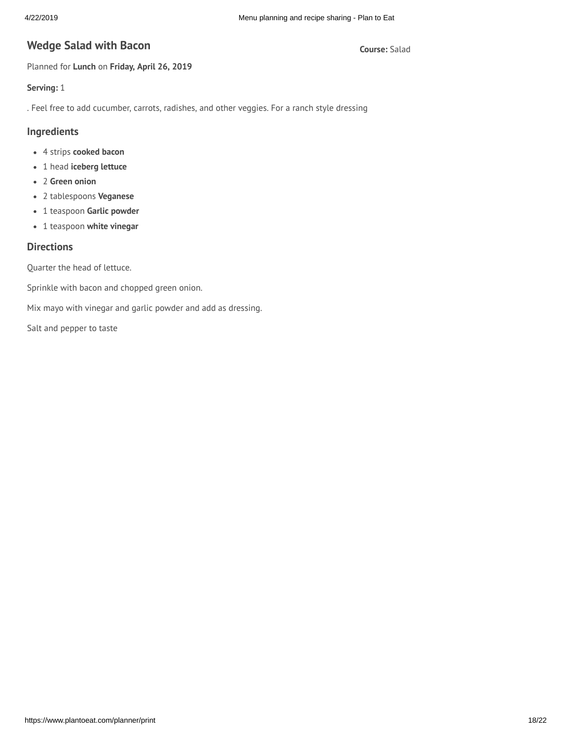# **Wedge Salad with Bacon Example 20 and 20 and 20 and 20 and 20 and 20 and 20 and 20 and 20 and 20 and 20 and 20 and 20 and 20 and 20 and 20 and 20 and 20 and 20 and 20 and 20 and 20 and 20 and 20 and 20 and 20 and 20 and**

Planned for **Lunch** on **Friday, April 26, 2019**

## **Serving:** 1

. Feel free to add cucumber, carrots, radishes, and other veggies. For a ranch style dressing

## **Ingredients**

- 4 strips **cooked bacon**
- 1 head **iceberg lettuce**
- 2 **Green onion**
- 2 tablespoons **Veganese**
- 1 teaspoon **Garlic powder**
- 1 teaspoon **white vinegar**

# **Directions**

Quarter the head of lettuce.

Sprinkle with bacon and chopped green onion.

Mix mayo with vinegar and garlic powder and add as dressing.

Salt and pepper to taste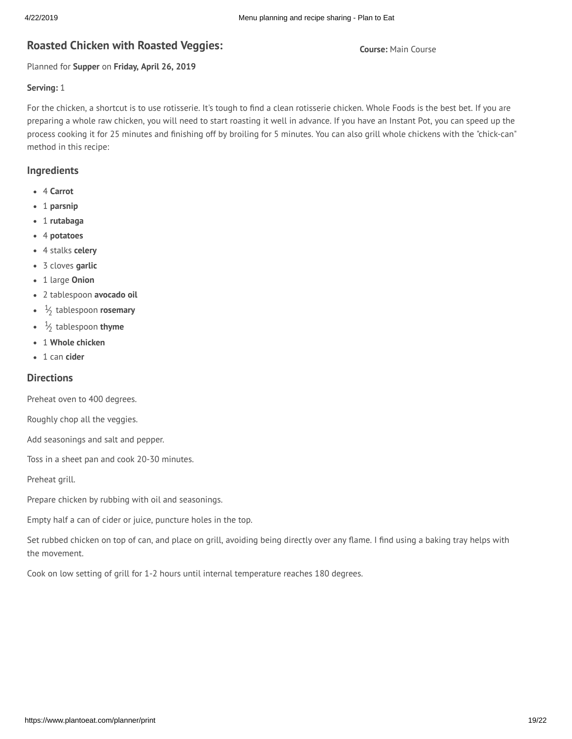# **R Course:** Main Course **oasted Chicken with Roasted Veggies:**

Planned for **Supper** on **Friday, April 26, 2019**

#### **Serving:** 1

For the chicken, a shortcut is to use rotisserie. It's tough to find a clean rotisserie chicken. Whole Foods is the best bet. If you are preparing a whole raw chicken, you will need to start roasting it well in advance. If you have an Instant Pot, you can speed up the process cooking it for 25 minutes and finishing off by broiling for 5 minutes. You can also grill whole chickens with the "chick-can" method in this recipe:

## **Ingredients**

- 4 **Carrot**
- 1 **parsnip**
- 1 **rutabaga**
- 4 **potatoes**
- 4 stalks **celery**
- 3 cloves **garlic**
- 1 large **Onion**
- 2 tablespoon **avocado oil**
- 1 ⁄2 tablespoon **rosemary**
- 1 ⁄2 tablespoon **thyme**
- 1 **Whole chicken**
- 1 can **cider**

## **Directions**

Preheat oven to 400 degrees.

Roughly chop all the veggies.

Add seasonings and salt and pepper.

Toss in a sheet pan and cook 20-30 minutes.

Preheat grill.

Prepare chicken by rubbing with oil and seasonings.

Empty half a can of cider or juice, puncture holes in the top.

Set rubbed chicken on top of can, and place on grill, avoiding being directly over any flame. I find using a baking tray helps with the movement.

Cook on low setting of grill for 1-2 hours until internal temperature reaches 180 degrees.